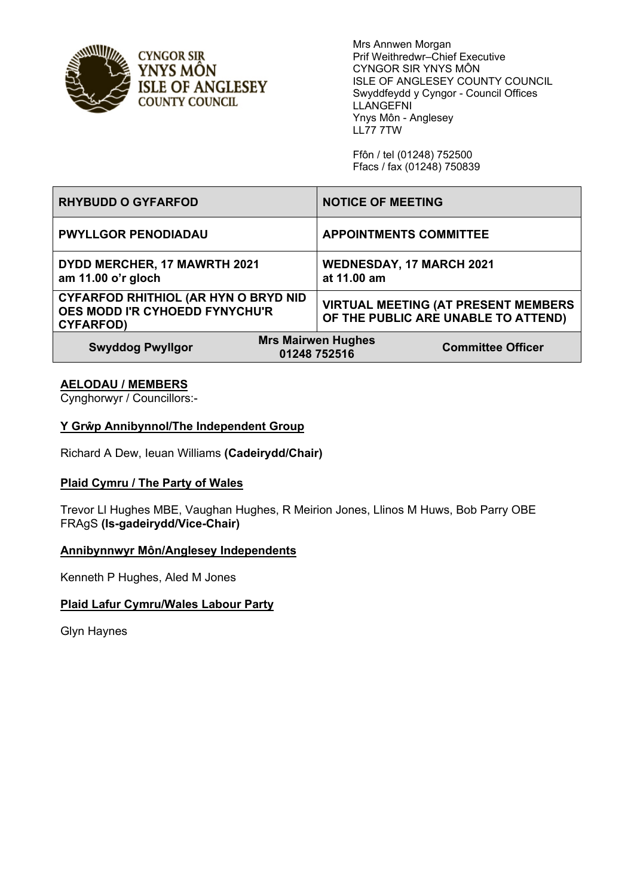

**CYNGOR SIR** YNYS MÔN **ISLE OF ANGLESEY COUNTY COUNCIL** 

Mrs Annwen Morgan Prif Weithredwr–Chief Executive CYNGOR SIR YNYS MÔN ISLE OF ANGLESEY COUNTY COUNCIL Swyddfeydd y Cyngor - Council Offices LLANGEFNI Ynys Môn - Anglesey LL77 7TW

Ffôn / tel (01248) 752500 Ffacs / fax (01248) 750839

| <b>RHYBUDD O GYFARFOD</b>                                                                         | <b>NOTICE OF MEETING</b>                                                          |
|---------------------------------------------------------------------------------------------------|-----------------------------------------------------------------------------------|
| <b>PWYLLGOR PENODIADAU</b>                                                                        | <b>APPOINTMENTS COMMITTEE</b>                                                     |
| DYDD MERCHER, 17 MAWRTH 2021<br>am 11.00 o'r gloch                                                | <b>WEDNESDAY, 17 MARCH 2021</b><br>at 11.00 am                                    |
| <b>CYFARFOD RHITHIOL (AR HYN O BRYD NID</b><br>OES MODD I'R CYHOEDD FYNYCHU'R<br><b>CYFARFOD)</b> | <b>VIRTUAL MEETING (AT PRESENT MEMBERS</b><br>OF THE PUBLIC ARE UNABLE TO ATTEND) |
| <b>Mrs Mairwen Hughes</b><br><b>Swyddog Pwyllgor</b><br><b>Committee Officer</b><br>01248 752516  |                                                                                   |

# **AELODAU / MEMBERS**

Cynghorwyr / Councillors:-

# **Y Grŵp Annibynnol/The Independent Group**

Richard A Dew, Ieuan Williams **(Cadeirydd/Chair)**

# **Plaid Cymru / The Party of Wales**

Trevor Ll Hughes MBE, Vaughan Hughes, R Meirion Jones, Llinos M Huws, Bob Parry OBE FRAgS **(Is-gadeirydd/Vice-Chair)**

#### **Annibynnwyr Môn/Anglesey Independents**

Kenneth P Hughes, Aled M Jones

# **Plaid Lafur Cymru/Wales Labour Party**

Glyn Haynes